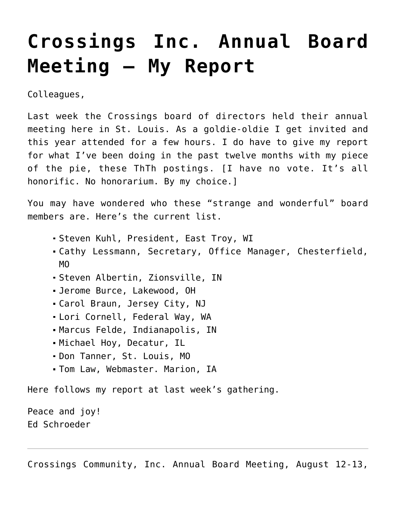## **[Crossings Inc. Annual Board](https://crossings.org/crossings-inc-annual-board-meeting-my-report/) [Meeting – My Report](https://crossings.org/crossings-inc-annual-board-meeting-my-report/)**

Colleagues,

Last week the Crossings board of directors held their annual meeting here in St. Louis. As a goldie-oldie I get invited and this year attended for a few hours. I do have to give my report for what I've been doing in the past twelve months with my piece of the pie, these ThTh postings. [I have no vote. It's all honorific. No honorarium. By my choice.]

You may have wondered who these "strange and wonderful" board members are. Here's the current list.

- Steven Kuhl, President, East Troy, WI
- Cathy Lessmann, Secretary, Office Manager, Chesterfield, MO
- Steven Albertin, Zionsville, IN
- Jerome Burce, Lakewood, OH
- Carol Braun, Jersey City, NJ
- Lori Cornell, Federal Way, WA
- Marcus Felde, Indianapolis, IN
- Michael Hoy, Decatur, IL
- Don Tanner, St. Louis, MO
- Tom Law, Webmaster. Marion, IA

Here follows my report at last week's gathering.

Peace and joy! Ed Schroeder

Crossings Community, Inc. Annual Board Meeting, August 12-13,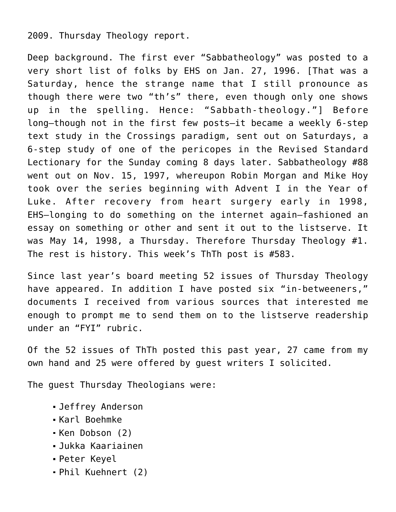## 2009. Thursday Theology report.

Deep background. The first ever "Sabbatheology" was posted to a very short list of folks by EHS on Jan. 27, 1996. [That was a Saturday, hence the strange name that I still pronounce as though there were two "th's" there, even though only one shows up in the spelling. Hence: "Sabbath-theology."] Before long–though not in the first few posts–it became a weekly 6-step text study in the Crossings paradigm, sent out on Saturdays, a 6-step study of one of the pericopes in the Revised Standard Lectionary for the Sunday coming 8 days later. Sabbatheology #88 went out on Nov. 15, 1997, whereupon Robin Morgan and Mike Hoy took over the series beginning with Advent I in the Year of Luke. After recovery from heart surgery early in 1998, EHS–longing to do something on the internet again–fashioned an essay on something or other and sent it out to the listserve. It was May 14, 1998, a Thursday. Therefore Thursday Theology #1. The rest is history. This week's ThTh post is #583.

Since last year's board meeting 52 issues of Thursday Theology have appeared. In addition I have posted six "in-betweeners," documents I received from various sources that interested me enough to prompt me to send them on to the listserve readership under an "FYI" rubric.

Of the 52 issues of ThTh posted this past year, 27 came from my own hand and 25 were offered by guest writers I solicited.

The guest Thursday Theologians were:

- Jeffrey Anderson
- Karl Boehmke
- Ken Dobson (2)
- Jukka Kaariainen
- Peter Keyel
- Phil Kuehnert (2)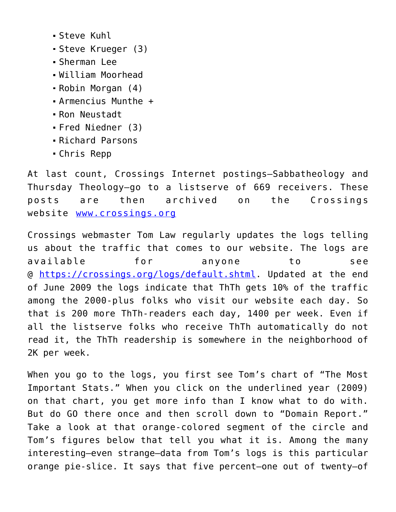- Steve Kuhl
- Steve Krueger (3)
- Sherman Lee
- William Moorhead
- Robin Morgan (4)
- Armencius Munthe +
- Ron Neustadt
- Fred Niedner (3)
- Richard Parsons
- Chris Repp

At last count, Crossings Internet postings–Sabbatheology and Thursday Theology–go to a listserve of 669 receivers. These posts are then archived on the Crossings website [www.crossings.org](https://crossings.org/)

Crossings webmaster Tom Law regularly updates the logs telling us about the traffic that comes to our website. The logs are available for anyone to see @ [https://crossings.org/logs/default.shtml.](https://crossings.org/logs/default.shtml) Updated at the end of June 2009 the logs indicate that ThTh gets 10% of the traffic among the 2000-plus folks who visit our website each day. So that is 200 more ThTh-readers each day, 1400 per week. Even if all the listserve folks who receive ThTh automatically do not read it, the ThTh readership is somewhere in the neighborhood of 2K per week.

When you go to the logs, you first see Tom's chart of "The Most Important Stats." When you click on the underlined year (2009) on that chart, you get more info than I know what to do with. But do GO there once and then scroll down to "Domain Report." Take a look at that orange-colored segment of the circle and Tom's figures below that tell you what it is. Among the many interesting–even strange–data from Tom's logs is this particular orange pie-slice. It says that five percent–one out of twenty–of